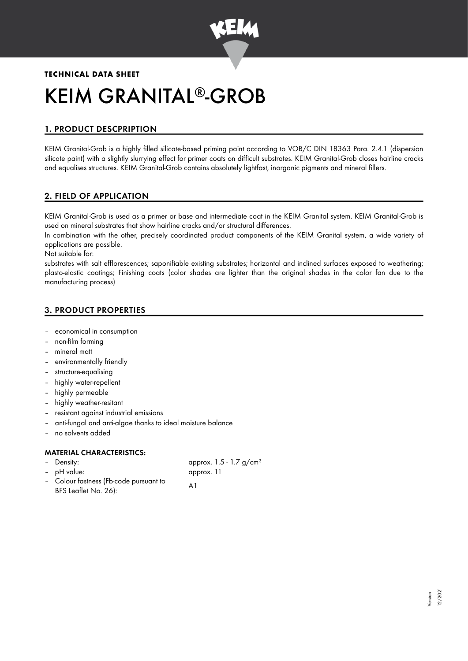

# **TECHNICAL DATA SHEET** KEIM GRANITAL®-GROB

# 1. PRODUCT DESCPRIPTION

KEIM Granital-Grob is a highly filled silicate-based priming paint according to VOB/C DIN 18363 Para. 2.4.1 (dispersion silicate paint) with a slightly slurrying effect for primer coats on difficult substrates. KEIM Granital-Grob closes hairline cracks and equalises structures. KEIM Granital-Grob contains absolutely lightfast, inorganic pigments and mineral fillers.

# 2. FIELD OF APPLICATION

KEIM Granital-Grob is used as a primer or base and intermediate coat in the KEIM Granital system. KEIM Granital-Grob is used on mineral substrates that show hairline cracks and/or structural differences.

In combination with the other, precisely coordinated product components of the KEIM Granital system, a wide variety of applications are possible.

Not suitable for:

substrates with salt efflorescences; saponifiable existing substrates; horizontal and inclined surfaces exposed to weathering; plasto-elastic coatings; Finishing coats (color shades are lighter than the original shades in the color fan due to the manufacturing process)

# 3. PRODUCT PROPERTIES

- economical in consumption
- non-film forming
- mineral matt
- environmentally friendly
- structure-equalising
- highly water-repellent
- highly permeable
- highly weather-resitant
- resistant against industrial emissions
- anti-fungal and anti-algae thanks to ideal moisture balance
- no solvents added

# MATERIAL CHARACTERISTICS:

Density: Density: approx. 1.5 - 1.7 g/cm<sup>3</sup> – pH value: approx. 11

– Colour fastness (Fb-code pursuant to Colour idsiness (rb-code pursuant to A1

> Version 12/2021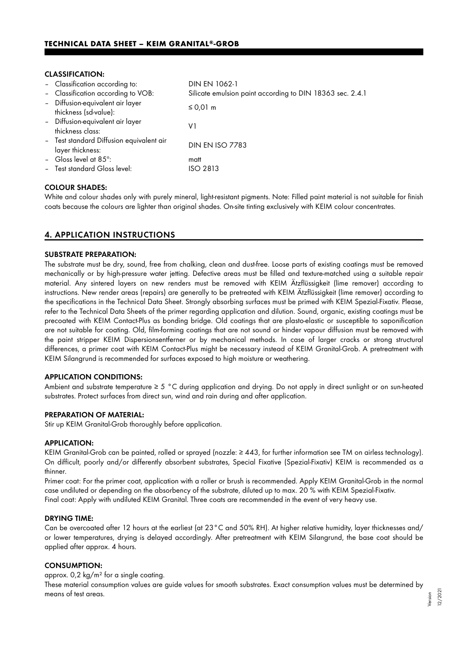## CLASSIFICATION:

| - Classification according to:                               | DIN EN 1062-1                                             |
|--------------------------------------------------------------|-----------------------------------------------------------|
| - Classification according to VOB:                           | Silicate emulsion paint according to DIN 18363 sec. 2.4.1 |
| - Diffusion-equivalent air layer<br>thickness (sd-value):    | ≤ 0,01 m                                                  |
| - Diffusion-equivalent air layer<br>thickness class:         | V1                                                        |
| - Test standard Diffusion equivalent air<br>layer thickness: | <b>DIN EN ISO 7783</b>                                    |
| - Gloss level at $85^\circ$ :                                | matt                                                      |
| - Test standard Gloss level:                                 | ISO 2813                                                  |
|                                                              |                                                           |

## COLOUR SHADES:

White and colour shades only with purely mineral, light-resistant pigments. Note: Filled paint material is not suitable for finish coats because the colours are lighter than original shades. On-site tinting exclusively with KEIM colour concentrates.

## 4. APPLICATION INSTRUCTIONS

## SUBSTRATE PREPARATION:

The substrate must be dry, sound, free from chalking, clean and dust-free. Loose parts of existing coatings must be removed mechanically or by high-pressure water jetting. Defective areas must be filled and texture-matched using a suitable repair material. Any sintered layers on new renders must be removed with KEIM Ätzflüssigkeit (lime remover) according to instructions. New render areas (repairs) are generally to be pretreated with KEIM Ätzflüssigkeit (lime remover) according to the specifications in the Technical Data Sheet. Strongly absorbing surfaces must be primed with KEIM Spezial-Fixativ. Please, refer to the Technical Data Sheets of the primer regarding application and dilution. Sound, organic, existing coatings must be precoated with KEIM Contact-Plus as bonding bridge. Old coatings that are plasto-elastic or susceptible to saponification are not suitable for coating. Old, film-forming coatings that are not sound or hinder vapour diffusion must be removed with the paint stripper KEIM Dispersionsentferner or by mechanical methods. In case of larger cracks or strong structural differences, a primer coat with KEIM Contact-Plus might be necessary instead of KEIM Granital-Grob. A pretreatment with KEIM Silangrund is recommended for surfaces exposed to high moisture or weathering.

## APPLICATION CONDITIONS:

Ambient and substrate temperature ≥ 5 °C during application and drying. Do not apply in direct sunlight or on sun-heated substrates. Protect surfaces from direct sun, wind and rain during and after application.

## PREPARATION OF MATERIAL:

Stir up KEIM Granital-Grob thoroughly before application.

#### APPLICATION:

KEIM Granital-Grob can be painted, rolled or sprayed (nozzle: ≥ 443, for further information see TM on airless technology). On difficult, poorly and/or differently absorbent substrates, Special Fixative (Spezial-Fixativ) KEIM is recommended as a thinner.

Primer coat: For the primer coat, application with a roller or brush is recommended. Apply KEIM Granital-Grob in the normal case undiluted or depending on the absorbency of the substrate, diluted up to max. 20 % with KEIM Spezial-Fixativ. Final coat: Apply with undiluted KEIM Granital. Three coats are recommended in the event of very heavy use.

#### DRYING TIME:

Can be overcoated after 12 hours at the earliest (at 23°C and 50% RH). At higher relative humidity, layer thicknesses and/ or lower temperatures, drying is delayed accordingly. After pretreatment with KEIM Silangrund, the base coat should be applied after approx. 4 hours.

## CONSUMPTION:

approx. 0,2 kg/m² for a single coating.

These material consumption values are guide values for smooth substrates. Exact consumption values must be determined by means of test areas.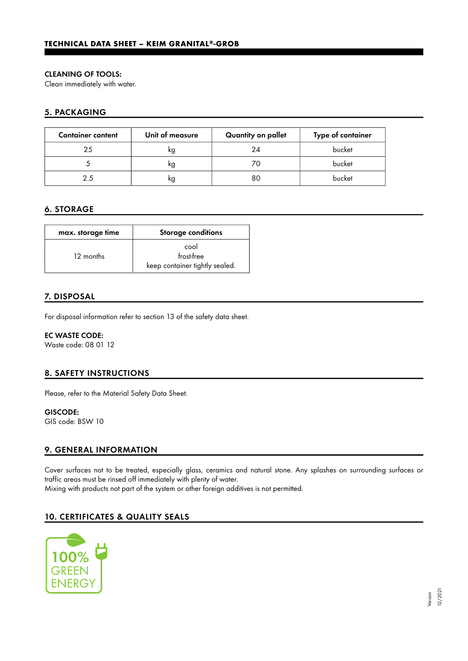## CLEANING OF TOOLS:

Clean immediately with water.

# 5. PACKAGING

| <b>Container content</b> | Unit of measure | Quantity on pallet | Type of container |
|--------------------------|-----------------|--------------------|-------------------|
| 25                       | κg              | 24                 | bucket            |
|                          | ĸg              |                    | bucket            |
| 25                       | ĸg              | 80                 | bucket            |

# 6. STORAGE

| max. storage time | <b>Storage conditions</b>                            |
|-------------------|------------------------------------------------------|
| 12 months         | cool<br>frost-free<br>keep container tightly sealed. |

# 7. DISPOSAL

For disposal information refer to section 13 of the safety data sheet.

## EC WASTE CODE:

Waste code: 08 01 12

# 8. SAFETY INSTRUCTIONS

Please, refer to the Material Safety Data Sheet.

# GISCODE:

GIS code: BSW 10

# 9. GENERAL INFORMATION

Cover surfaces not to be treated, especially glass, ceramics and natural stone. Any splashes on surrounding surfaces or traffic areas must be rinsed off immediately with plenty of water. Mixing with products not part of the system or other foreign additives is not permitted.

# 10. CERTIFICATES & QUALITY SEALS